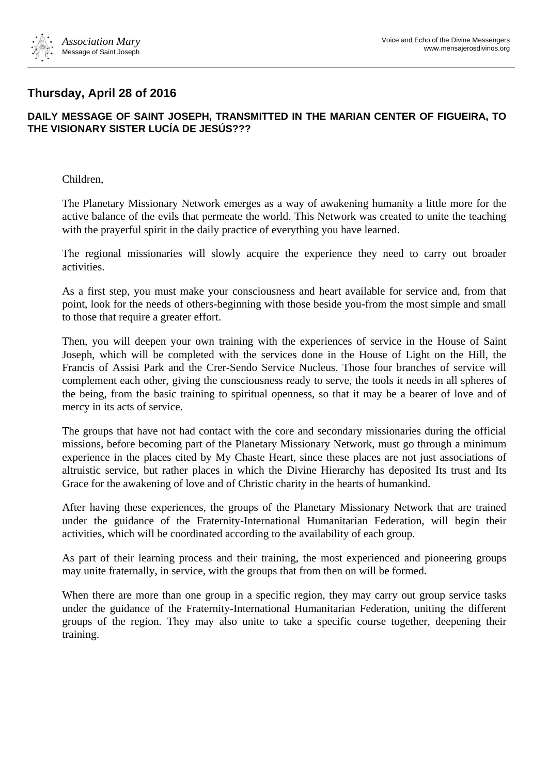

## **Thursday, April 28 of 2016**

## **DAILY MESSAGE OF SAINT JOSEPH, TRANSMITTED IN THE MARIAN CENTER OF FIGUEIRA, TO THE VISIONARY SISTER LUCÍA DE JESÚS???**

Children,

The Planetary Missionary Network emerges as a way of awakening humanity a little more for the active balance of the evils that permeate the world. This Network was created to unite the teaching with the prayerful spirit in the daily practice of everything you have learned.

The regional missionaries will slowly acquire the experience they need to carry out broader activities.

As a first step, you must make your consciousness and heart available for service and, from that point, look for the needs of others-beginning with those beside you-from the most simple and small to those that require a greater effort.

Then, you will deepen your own training with the experiences of service in the House of Saint Joseph, which will be completed with the services done in the House of Light on the Hill, the Francis of Assisi Park and the Crer-Sendo Service Nucleus. Those four branches of service will complement each other, giving the consciousness ready to serve, the tools it needs in all spheres of the being, from the basic training to spiritual openness, so that it may be a bearer of love and of mercy in its acts of service.

The groups that have not had contact with the core and secondary missionaries during the official missions, before becoming part of the Planetary Missionary Network, must go through a minimum experience in the places cited by My Chaste Heart, since these places are not just associations of altruistic service, but rather places in which the Divine Hierarchy has deposited Its trust and Its Grace for the awakening of love and of Christic charity in the hearts of humankind.

After having these experiences, the groups of the Planetary Missionary Network that are trained under the guidance of the Fraternity-International Humanitarian Federation, will begin their activities, which will be coordinated according to the availability of each group.

As part of their learning process and their training, the most experienced and pioneering groups may unite fraternally, in service, with the groups that from then on will be formed.

When there are more than one group in a specific region, they may carry out group service tasks under the guidance of the Fraternity-International Humanitarian Federation, uniting the different groups of the region. They may also unite to take a specific course together, deepening their training.